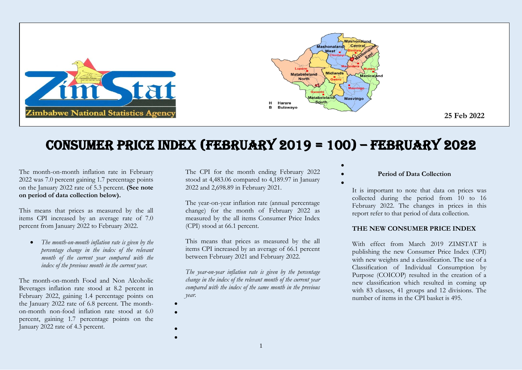

# Consumer Price Index (FEBRUARY 2019 = 100) – FEBRUARY 2022

The month-on-month inflation rate in February 2022 was 7.0 percent gaining 1.7 percentage points on the January 2022 rate of 5.3 percent. **(See note on period of data collection below).**

This means that prices as measured by the all items CPI increased by an average rate of 7.0 percent from January 2022 to February 2022.

 *The month-on-month inflation rate is given by the percentage change in the index of the relevant month of the current year compared with the index of the previous month in the current year.*

The month-on-month Food and Non Alcoholic Beverages inflation rate stood at 8.2 percent in February 2022, gaining 1.4 percentage points on the January 2022 rate of 6.8 percent. The monthon-month non-food inflation rate stood at 6.0 percent, gaining 1.7 percentage points on the January 2022 rate of 4.3 percent.

The CPI for the month ending February 2022 stood at 4,483.06 compared to 4,189.97 in January 2022 and 2,698.89 in February 2021.

The year-on-year inflation rate (annual percentage change) for the month of February 2022 as measured by the all items Consumer Price Index (CPI) stood at 66.1 percent.

This means that prices as measured by the all items CPI increased by an average of 66.1 percent between February 2021 and February 2022.

*The year-on-year inflation rate is given by the percentage change in the index of the relevant month of the current year compared with the index of the same month in the previous year.* 

 $\bullet$  $\bullet$ 

> $\bullet$  $\bullet$

**Period of Data Collection**

 $\bullet$ 

 $\bullet$ 

It is important to note that data on prices was collected during the period from 10 to 16 February 2022. The changes in prices in this report refer to that period of data collection.

### **THE NEW CONSUMER PRICE INDEX**

With effect from March 2019 ZIMSTAT is publishing the new Consumer Price Index (CPI) with new weights and a classification. The use of a Classification of Individual Consumption by Purpose (COICOP) resulted in the creation of a new classification which resulted in coming up with 83 classes, 41 groups and 12 divisions. The number of items in the CPI basket is 495.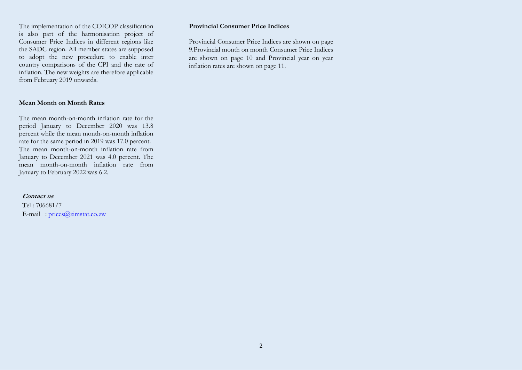The implementation of the COICOP classification is also part of the harmonisation project of Consumer Price Indices in different regions like the SADC region. All member states are supposed to adopt the new procedure to enable inter country comparisons of the CPI and the rate of inflation. The new weights are therefore applicable from February 2019 onwards.

#### **Mean Month on Month Rates**

The mean month-on-month inflation rate for the period January to December 2020 was 13.8 percent while the mean month-on-month inflation rate for the same period in 2019 was 17.0 percent. The mean month-on-month inflation rate from January to December 2021 was 4.0 percent. The mean month-on-month inflation rate from January to February 2022 was 6.2.

#### **Contact us**

Tel : 706681/7 E-mail : [prices@zimstat.co.zw](mailto:prices@zimstat.co.zw)

### **Provincial Consumer Price Indices**

Provincial Consumer Price Indices are shown on page 9.Provincial month on month Consumer Price Indices are shown on page 10 and Provincial year on year inflation rates are shown on page 11.